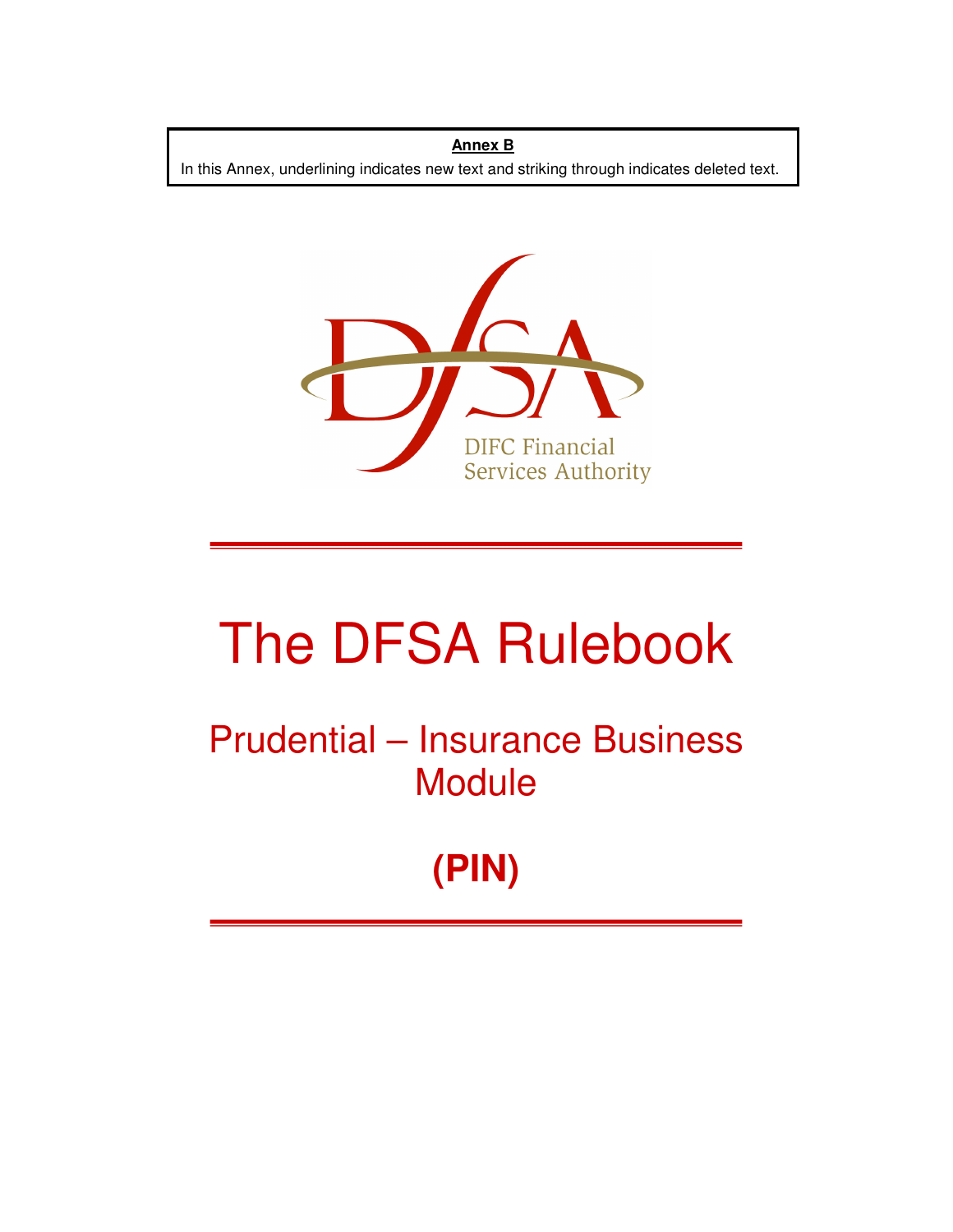**Annex B** In this Annex, underlining indicates new text and striking through indicates deleted text.



# The DFSA Rulebook

Prudential – Insurance Business **Module** 

**(PIN)**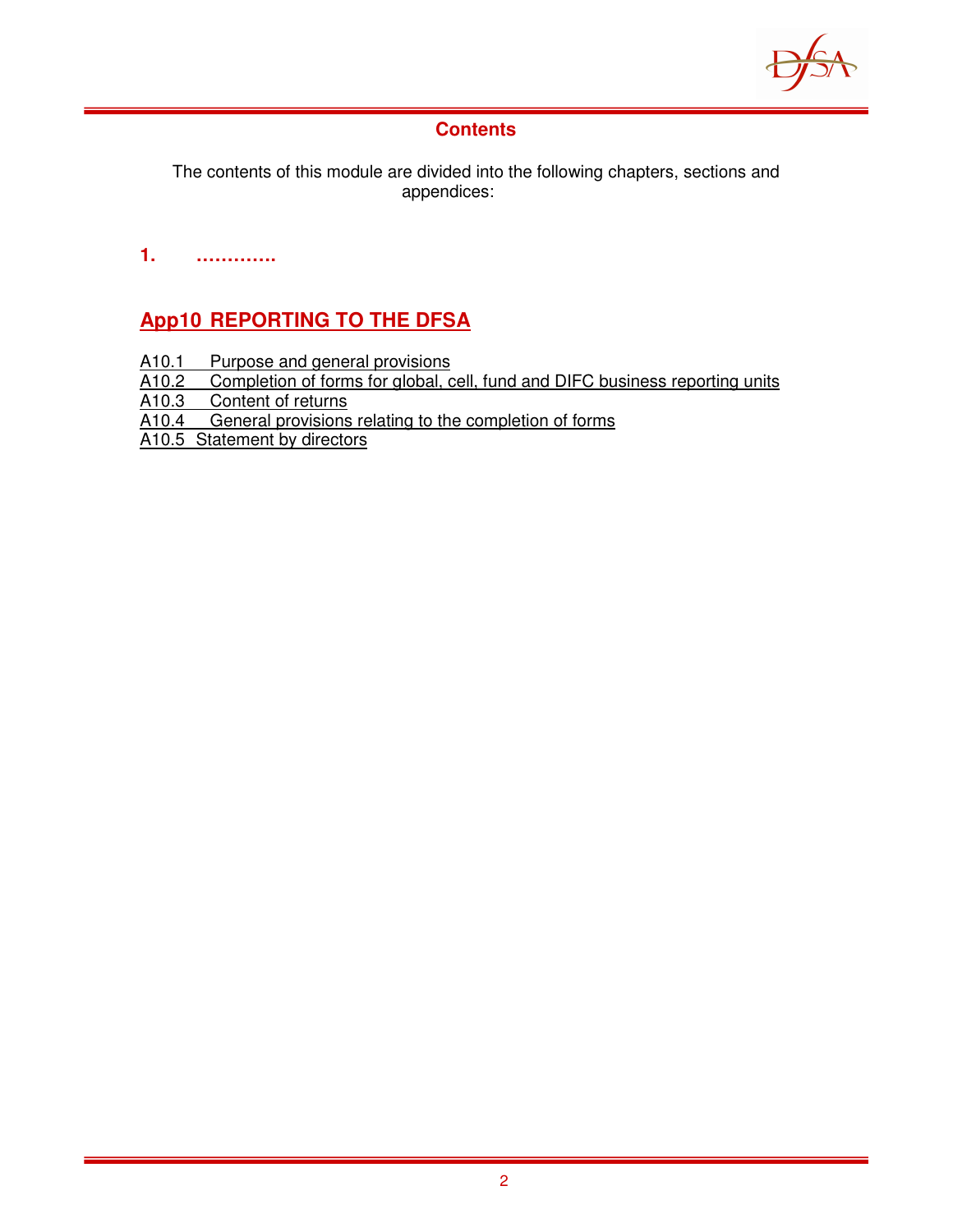

## **Contents**

The contents of this module are divided into the following chapters, sections and appendices:

**1. ………….** 

# **App10 REPORTING TO THE DFSA**

- 
- A10.1 Purpose and general provisions<br>A10.2 Completion of forms for global, c A10.2 Completion of forms for global, cell, fund and DIFC business reporting units<br>A10.3 Content of returns
- Content of returns
- A10.4 General provisions relating to the completion of forms
- A10.5 Statement by directors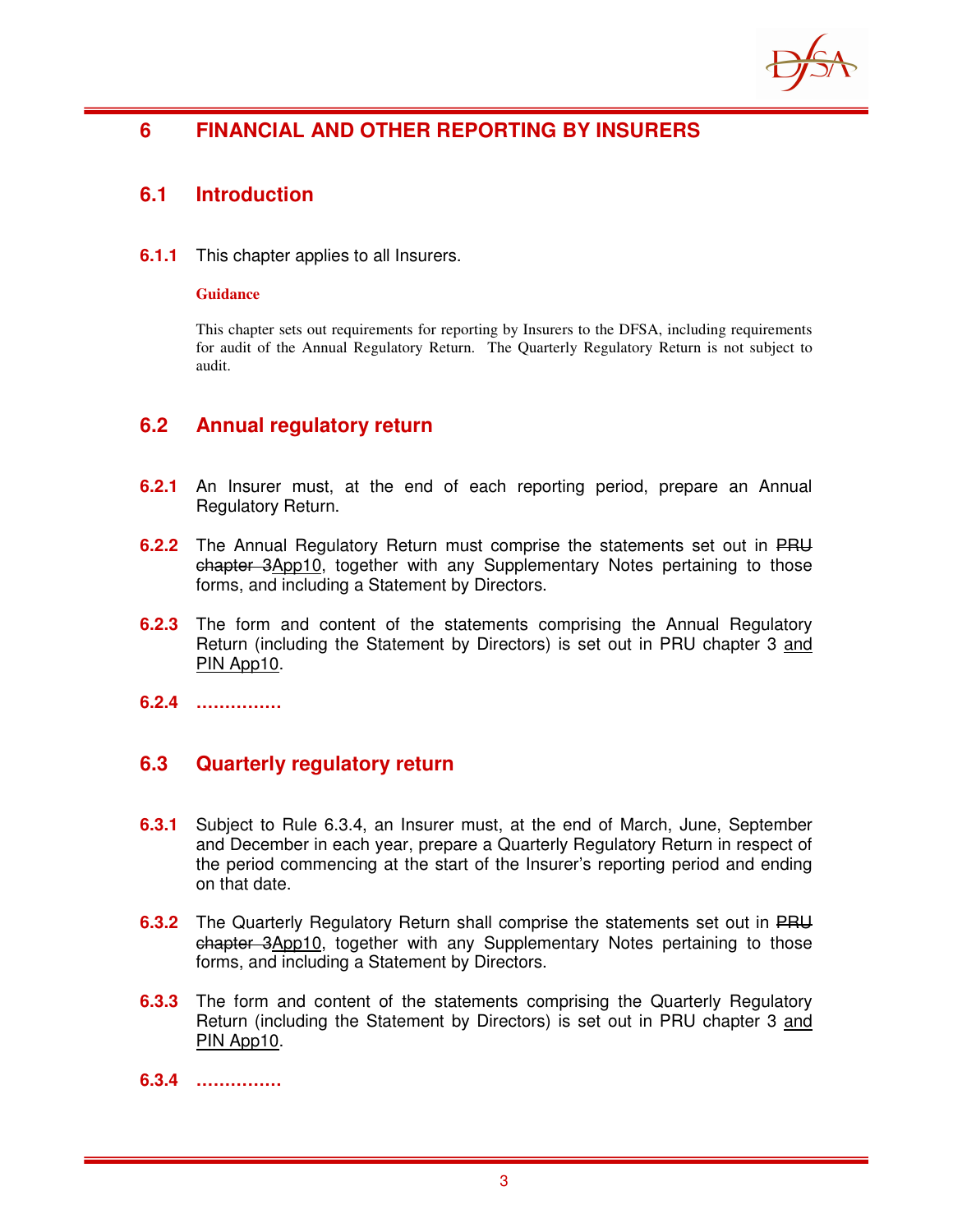

## **6 FINANCIAL AND OTHER REPORTING BY INSURERS**

## **6.1 Introduction**

**6.1.1** This chapter applies to all Insurers.

#### **Guidance**

This chapter sets out requirements for reporting by Insurers to the DFSA, including requirements for audit of the Annual Regulatory Return. The Quarterly Regulatory Return is not subject to audit.

## **6.2 Annual regulatory return**

- **6.2.1** An Insurer must, at the end of each reporting period, prepare an Annual Regulatory Return.
- **6.2.2** The Annual Regulatory Return must comprise the statements set out in PRU chapter 3App10, together with any Supplementary Notes pertaining to those forms, and including a Statement by Directors.
- **6.2.3** The form and content of the statements comprising the Annual Regulatory Return (including the Statement by Directors) is set out in PRU chapter 3 and PIN App10.
- **6.2.4 ……………**

## **6.3 Quarterly regulatory return**

- **6.3.1** Subject to Rule 6.3.4, an Insurer must, at the end of March, June, September and December in each year, prepare a Quarterly Regulatory Return in respect of the period commencing at the start of the Insurer's reporting period and ending on that date.
- **6.3.2** The Quarterly Regulatory Return shall comprise the statements set out in PRU chapter 3App10, together with any Supplementary Notes pertaining to those forms, and including a Statement by Directors.
- **6.3.3** The form and content of the statements comprising the Quarterly Regulatory Return (including the Statement by Directors) is set out in PRU chapter 3 and PIN App10.
- **6.3.4 ……………**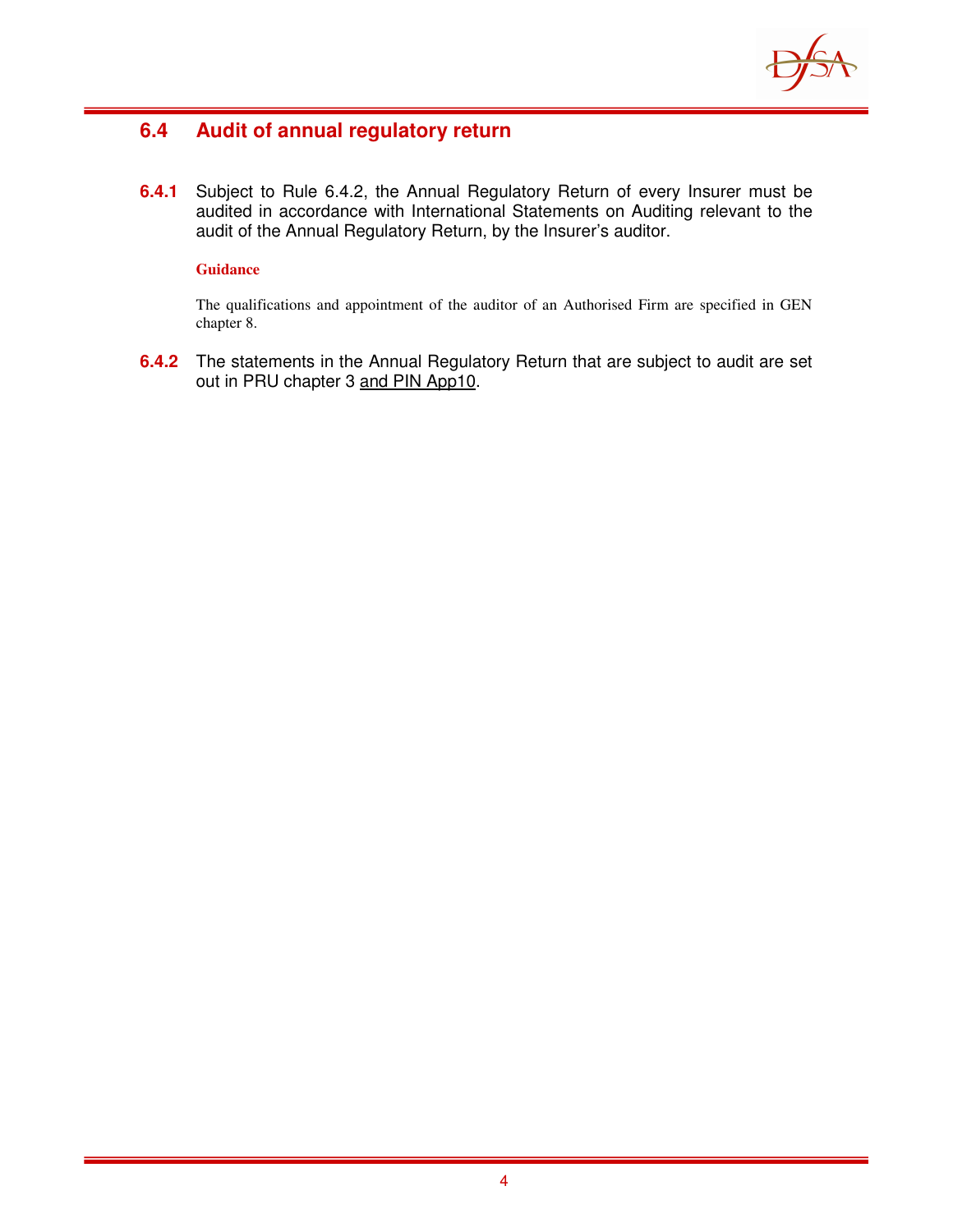

## **6.4 Audit of annual regulatory return**

**6.4.1** Subject to Rule 6.4.2, the Annual Regulatory Return of every Insurer must be audited in accordance with International Statements on Auditing relevant to the audit of the Annual Regulatory Return, by the Insurer's auditor.

#### **Guidance**

The qualifications and appointment of the auditor of an Authorised Firm are specified in GEN chapter 8.

**6.4.2** The statements in the Annual Regulatory Return that are subject to audit are set out in PRU chapter 3 and PIN App10.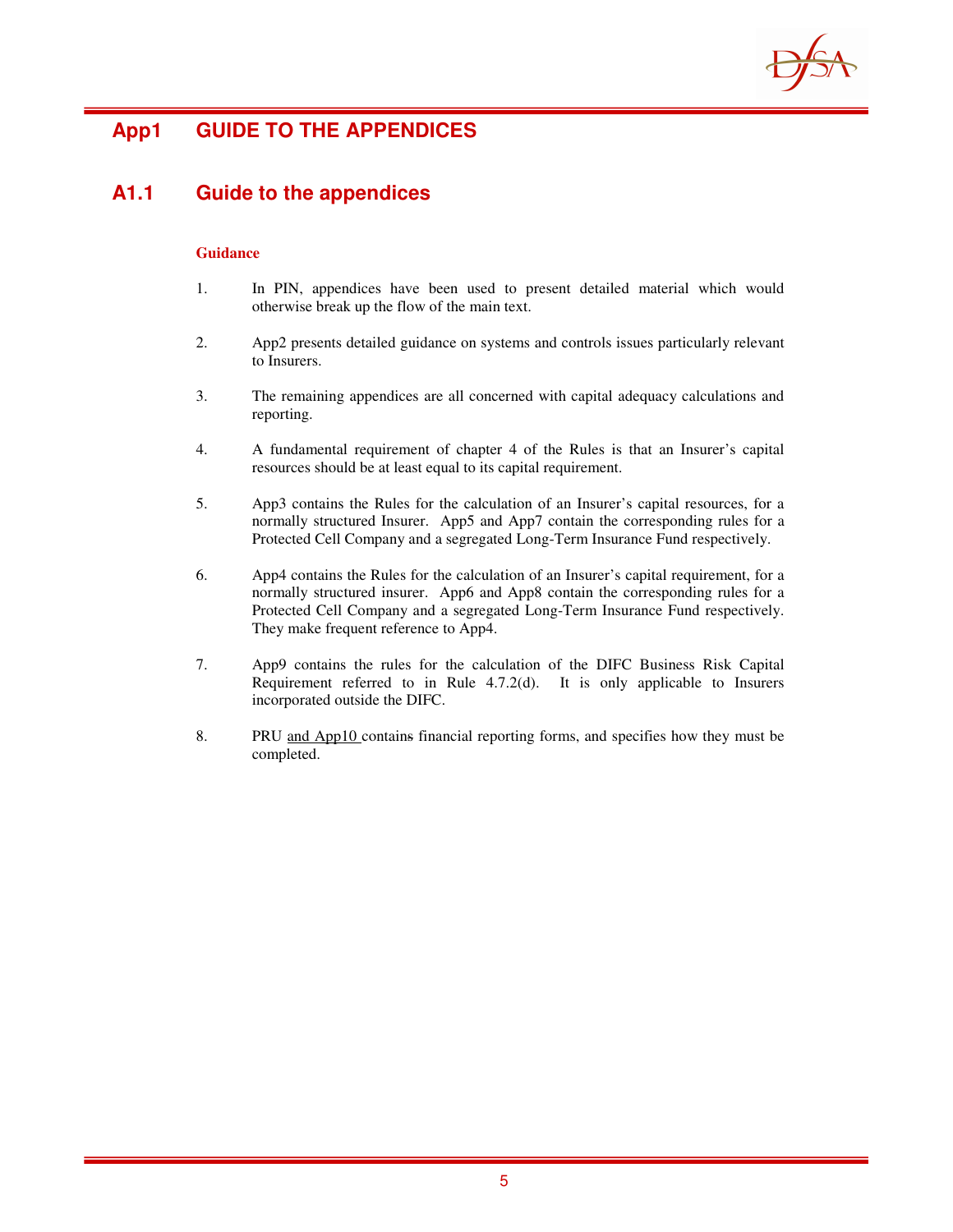

# **App1 GUIDE TO THE APPENDICES**

## **A1.1 Guide to the appendices**

#### **Guidance**

- 1. In PIN, appendices have been used to present detailed material which would otherwise break up the flow of the main text.
- 2. App2 presents detailed guidance on systems and controls issues particularly relevant to Insurers.
- 3. The remaining appendices are all concerned with capital adequacy calculations and reporting.
- 4. A fundamental requirement of chapter 4 of the Rules is that an Insurer's capital resources should be at least equal to its capital requirement.
- 5. App3 contains the Rules for the calculation of an Insurer's capital resources, for a normally structured Insurer. App5 and App7 contain the corresponding rules for a Protected Cell Company and a segregated Long-Term Insurance Fund respectively.
- 6. App4 contains the Rules for the calculation of an Insurer's capital requirement, for a normally structured insurer. App6 and App8 contain the corresponding rules for a Protected Cell Company and a segregated Long-Term Insurance Fund respectively. They make frequent reference to App4.
- 7. App9 contains the rules for the calculation of the DIFC Business Risk Capital Requirement referred to in Rule 4.7.2(d). It is only applicable to Insurers incorporated outside the DIFC.
- 8. PRU and App10 contains financial reporting forms, and specifies how they must be completed.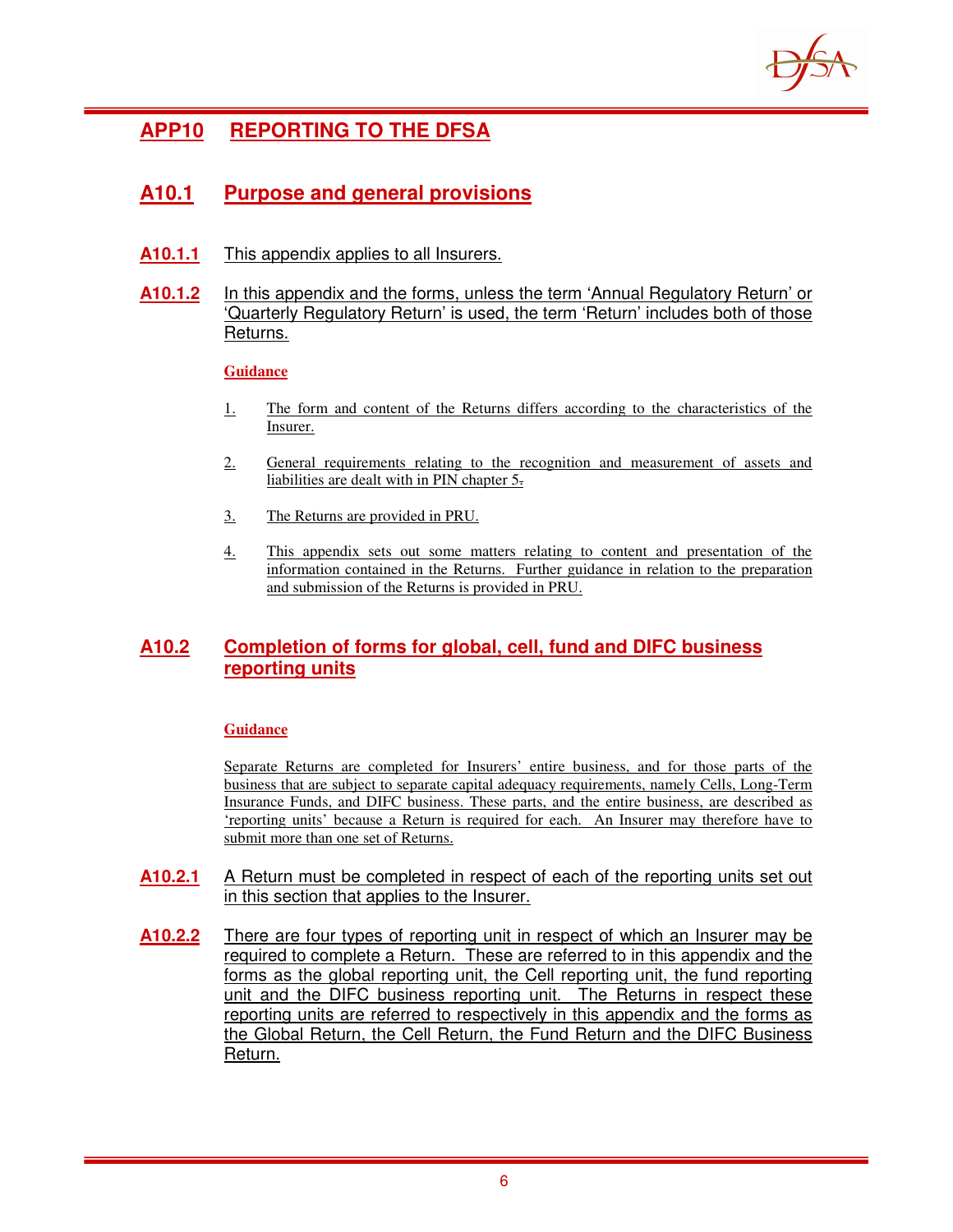

# **APP10 REPORTING TO THE DFSA**

## **A10.1 Purpose and general provisions**

**A10.1.1** This appendix applies to all Insurers.

#### **A10.1.2** In this appendix and the forms, unless the term 'Annual Regulatory Return' or 'Quarterly Regulatory Return' is used, the term 'Return' includes both of those Returns.

#### **Guidance**

- 1. The form and content of the Returns differs according to the characteristics of the Insurer.
- 2. General requirements relating to the recognition and measurement of assets and liabilities are dealt with in PIN chapter 5.
- 3. The Returns are provided in PRU.
- 4. This appendix sets out some matters relating to content and presentation of the information contained in the Returns. Further guidance in relation to the preparation and submission of the Returns is provided in PRU.

### **A10.2 Completion of forms for global, cell, fund and DIFC business reporting units**

#### **Guidance**

Separate Returns are completed for Insurers' entire business, and for those parts of the business that are subject to separate capital adequacy requirements, namely Cells, Long-Term Insurance Funds, and DIFC business. These parts, and the entire business, are described as 'reporting units' because a Return is required for each. An Insurer may therefore have to submit more than one set of Returns.

- **A10.2.1** A Return must be completed in respect of each of the reporting units set out in this section that applies to the Insurer.
- **A10.2.2** There are four types of reporting unit in respect of which an Insurer may be required to complete a Return. These are referred to in this appendix and the forms as the global reporting unit, the Cell reporting unit, the fund reporting unit and the DIFC business reporting unit. The Returns in respect these reporting units are referred to respectively in this appendix and the forms as the Global Return, the Cell Return, the Fund Return and the DIFC Business Return.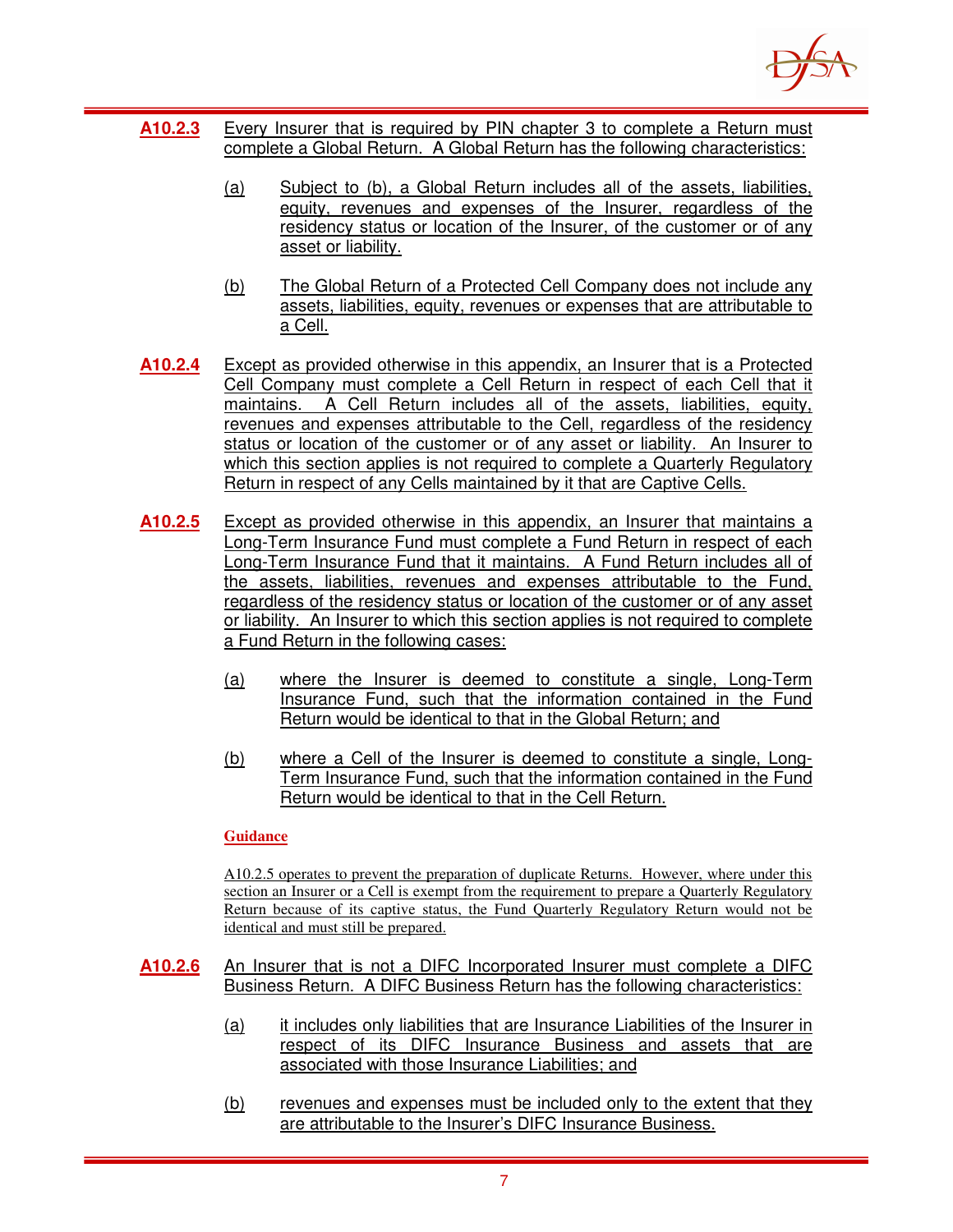

- **A10.2.3** Every Insurer that is required by PIN chapter 3 to complete a Return must complete a Global Return. A Global Return has the following characteristics:
	- (a) Subject to (b), a Global Return includes all of the assets, liabilities, equity, revenues and expenses of the Insurer, regardless of the residency status or location of the Insurer, of the customer or of any asset or liability.
	- (b) The Global Return of a Protected Cell Company does not include any assets, liabilities, equity, revenues or expenses that are attributable to a Cell.
- **A10.2.4** Except as provided otherwise in this appendix, an Insurer that is a Protected Cell Company must complete a Cell Return in respect of each Cell that it maintains. A Cell Return includes all of the assets, liabilities, equity, revenues and expenses attributable to the Cell, regardless of the residency status or location of the customer or of any asset or liability. An Insurer to which this section applies is not required to complete a Quarterly Regulatory Return in respect of any Cells maintained by it that are Captive Cells.
- **A10.2.5** Except as provided otherwise in this appendix, an Insurer that maintains a Long-Term Insurance Fund must complete a Fund Return in respect of each Long-Term Insurance Fund that it maintains. A Fund Return includes all of the assets, liabilities, revenues and expenses attributable to the Fund, regardless of the residency status or location of the customer or of any asset or liability. An Insurer to which this section applies is not required to complete a Fund Return in the following cases:
	- (a) where the Insurer is deemed to constitute a single, Long-Term Insurance Fund, such that the information contained in the Fund Return would be identical to that in the Global Return; and
	- (b) where a Cell of the Insurer is deemed to constitute a single, Long-Term Insurance Fund, such that the information contained in the Fund Return would be identical to that in the Cell Return.

#### **Guidance**

A10.2.5 operates to prevent the preparation of duplicate Returns. However, where under this section an Insurer or a Cell is exempt from the requirement to prepare a Quarterly Regulatory Return because of its captive status, the Fund Quarterly Regulatory Return would not be identical and must still be prepared.

- **A10.2.6** An Insurer that is not a DIFC Incorporated Insurer must complete a DIFC Business Return. A DIFC Business Return has the following characteristics:
	- (a) it includes only liabilities that are Insurance Liabilities of the Insurer in respect of its DIFC Insurance Business and assets that are associated with those Insurance Liabilities; and
	- (b) revenues and expenses must be included only to the extent that they are attributable to the Insurer's DIFC Insurance Business.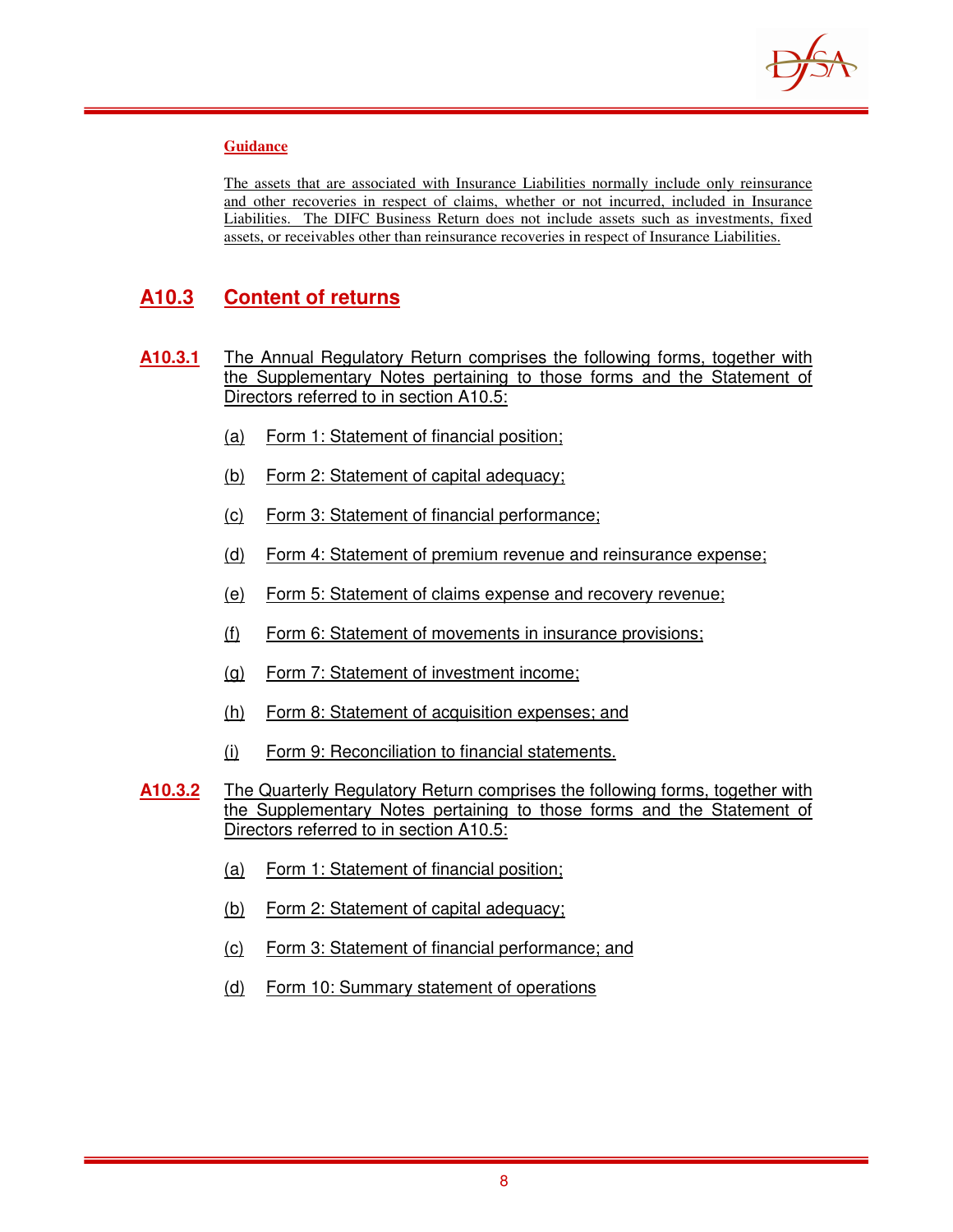

#### **Guidance**

The assets that are associated with Insurance Liabilities normally include only reinsurance and other recoveries in respect of claims, whether or not incurred, included in Insurance Liabilities. The DIFC Business Return does not include assets such as investments, fixed assets, or receivables other than reinsurance recoveries in respect of Insurance Liabilities.

## **A10.3 Content of returns**

- **A10.3.1** The Annual Regulatory Return comprises the following forms, together with the Supplementary Notes pertaining to those forms and the Statement of Directors referred to in section A10.5:
	- (a) Form 1: Statement of financial position;
	- (b) Form 2: Statement of capital adequacy;
	- (c) Form 3: Statement of financial performance;
	- (d) Form 4: Statement of premium revenue and reinsurance expense;
	- (e) Form 5: Statement of claims expense and recovery revenue;
	- (f) Form 6: Statement of movements in insurance provisions;
	- (g) Form 7: Statement of investment income;
	- (h) Form 8: Statement of acquisition expenses; and
	- (i) Form 9: Reconciliation to financial statements.
- **A10.3.2** The Quarterly Regulatory Return comprises the following forms, together with the Supplementary Notes pertaining to those forms and the Statement of Directors referred to in section A10.5:
	- (a) Form 1: Statement of financial position;
	- (b) Form 2: Statement of capital adequacy;
	- (c) Form 3: Statement of financial performance; and
	- (d) Form 10: Summary statement of operations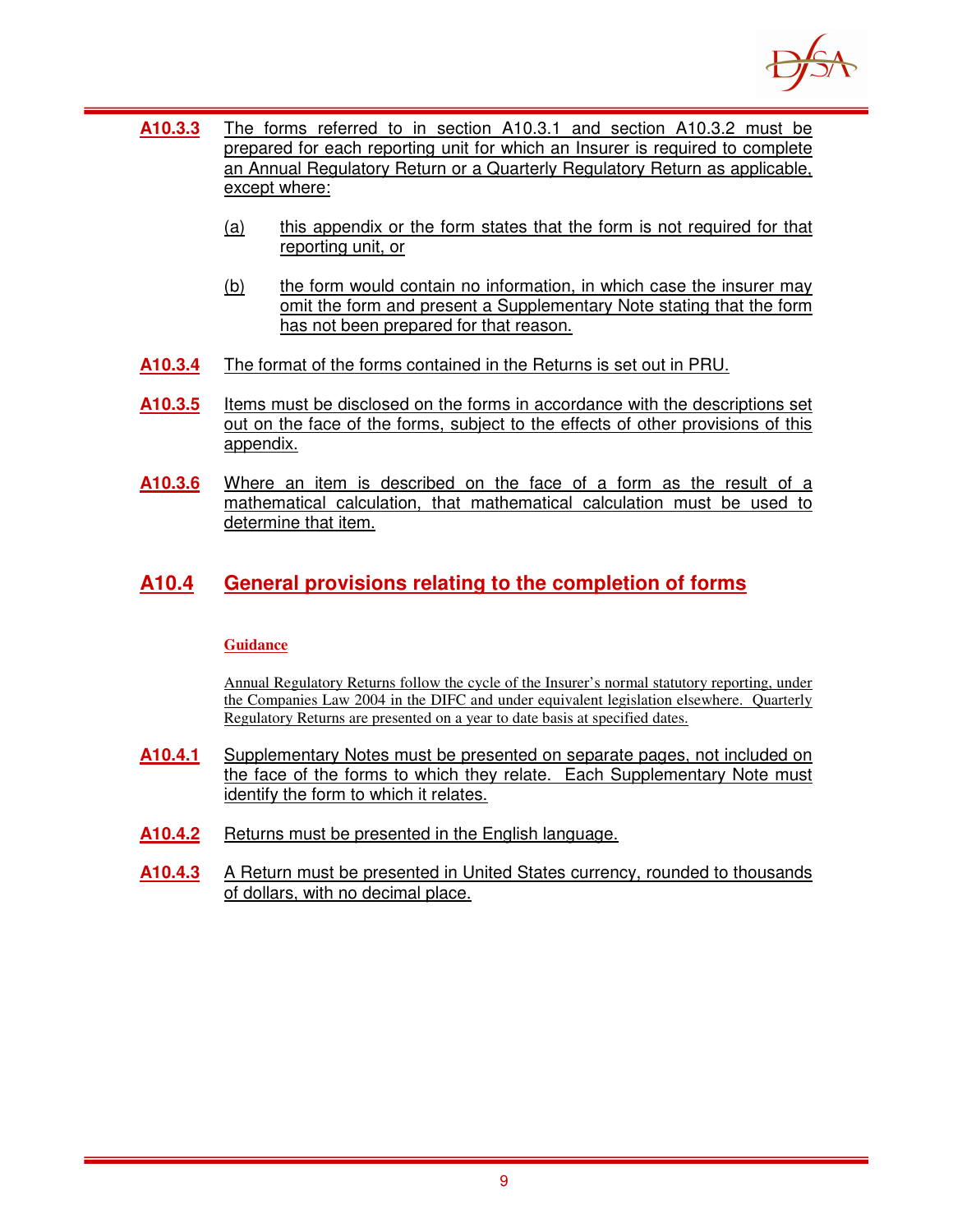

- **A10.3.3** The forms referred to in section A10.3.1 and section A10.3.2 must be prepared for each reporting unit for which an Insurer is required to complete an Annual Regulatory Return or a Quarterly Regulatory Return as applicable, except where:
	- (a) this appendix or the form states that the form is not required for that reporting unit, or
	- (b) the form would contain no information, in which case the insurer may omit the form and present a Supplementary Note stating that the form has not been prepared for that reason.
- **A10.3.4** The format of the forms contained in the Returns is set out in PRU.
- **A10.3.5** Items must be disclosed on the forms in accordance with the descriptions set out on the face of the forms, subject to the effects of other provisions of this appendix.
- **A10.3.6** Where an item is described on the face of a form as the result of a mathematical calculation, that mathematical calculation must be used to determine that item.

## **A10.4 General provisions relating to the completion of forms**

#### **Guidance**

Annual Regulatory Returns follow the cycle of the Insurer's normal statutory reporting, under the Companies Law 2004 in the DIFC and under equivalent legislation elsewhere. Quarterly Regulatory Returns are presented on a year to date basis at specified dates.

- **A10.4.1** Supplementary Notes must be presented on separate pages, not included on the face of the forms to which they relate. Each Supplementary Note must identify the form to which it relates.
- **A10.4.2** Returns must be presented in the English language.
- **A10.4.3** A Return must be presented in United States currency, rounded to thousands of dollars, with no decimal place.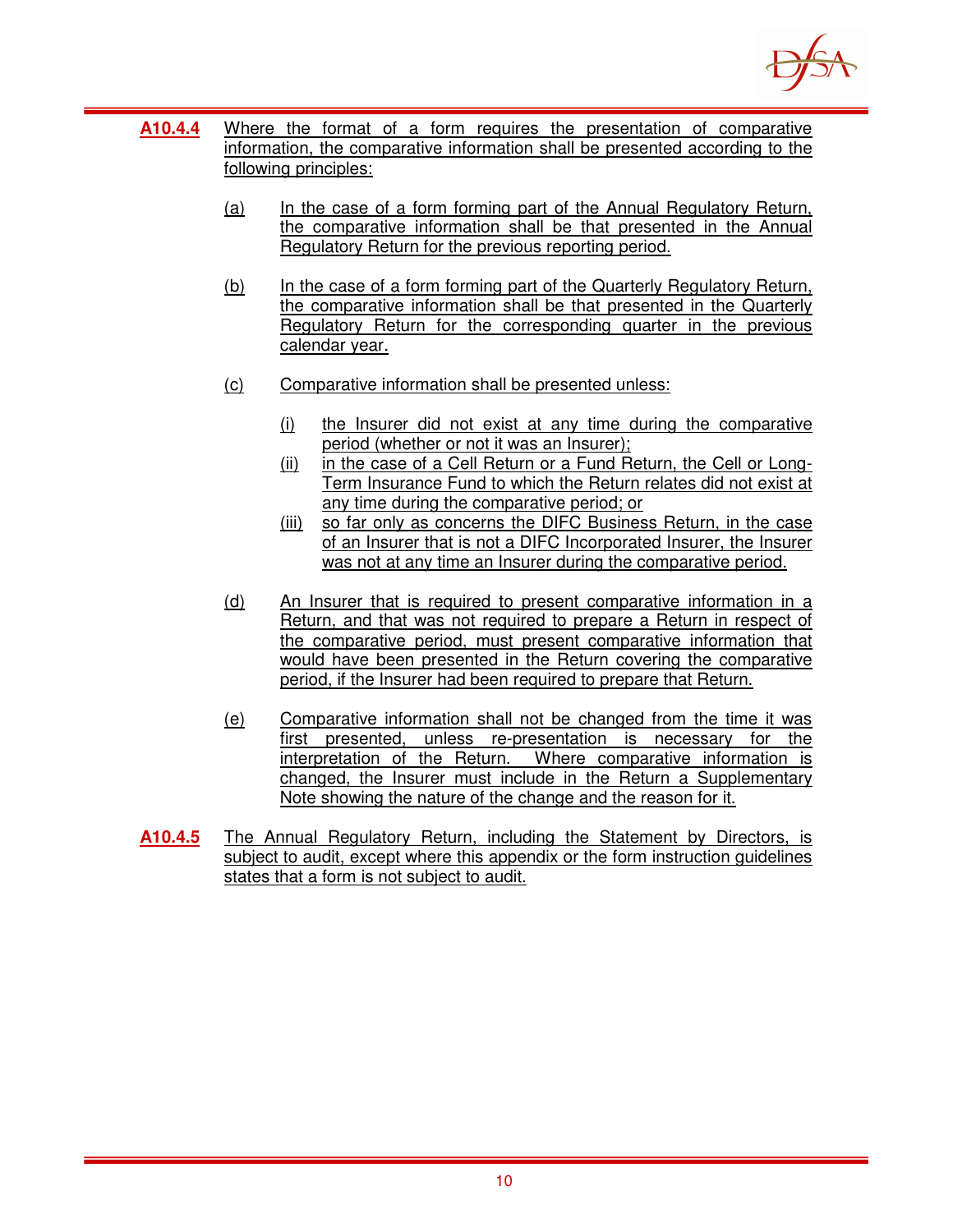

- **A10.4.4** Where the format of a form requires the presentation of comparative information, the comparative information shall be presented according to the following principles:
	- (a) In the case of a form forming part of the Annual Regulatory Return, the comparative information shall be that presented in the Annual Regulatory Return for the previous reporting period.
	- (b) In the case of a form forming part of the Quarterly Regulatory Return, the comparative information shall be that presented in the Quarterly Regulatory Return for the corresponding quarter in the previous calendar year.
	- (c) Comparative information shall be presented unless:
		- (i) the Insurer did not exist at any time during the comparative period (whether or not it was an Insurer);
		- (ii) in the case of a Cell Return or a Fund Return, the Cell or Long-Term Insurance Fund to which the Return relates did not exist at any time during the comparative period; or
		- (iii) so far only as concerns the DIFC Business Return, in the case of an Insurer that is not a DIFC Incorporated Insurer, the Insurer was not at any time an Insurer during the comparative period.
	- (d) An Insurer that is required to present comparative information in a Return, and that was not required to prepare a Return in respect of the comparative period, must present comparative information that would have been presented in the Return covering the comparative period, if the Insurer had been required to prepare that Return.
	- (e) Comparative information shall not be changed from the time it was first presented, unless re-presentation is necessary for the interpretation of the Return. Where comparative information is changed, the Insurer must include in the Return a Supplementary Note showing the nature of the change and the reason for it.
- **A10.4.5** The Annual Regulatory Return, including the Statement by Directors, is subject to audit, except where this appendix or the form instruction guidelines states that a form is not subject to audit.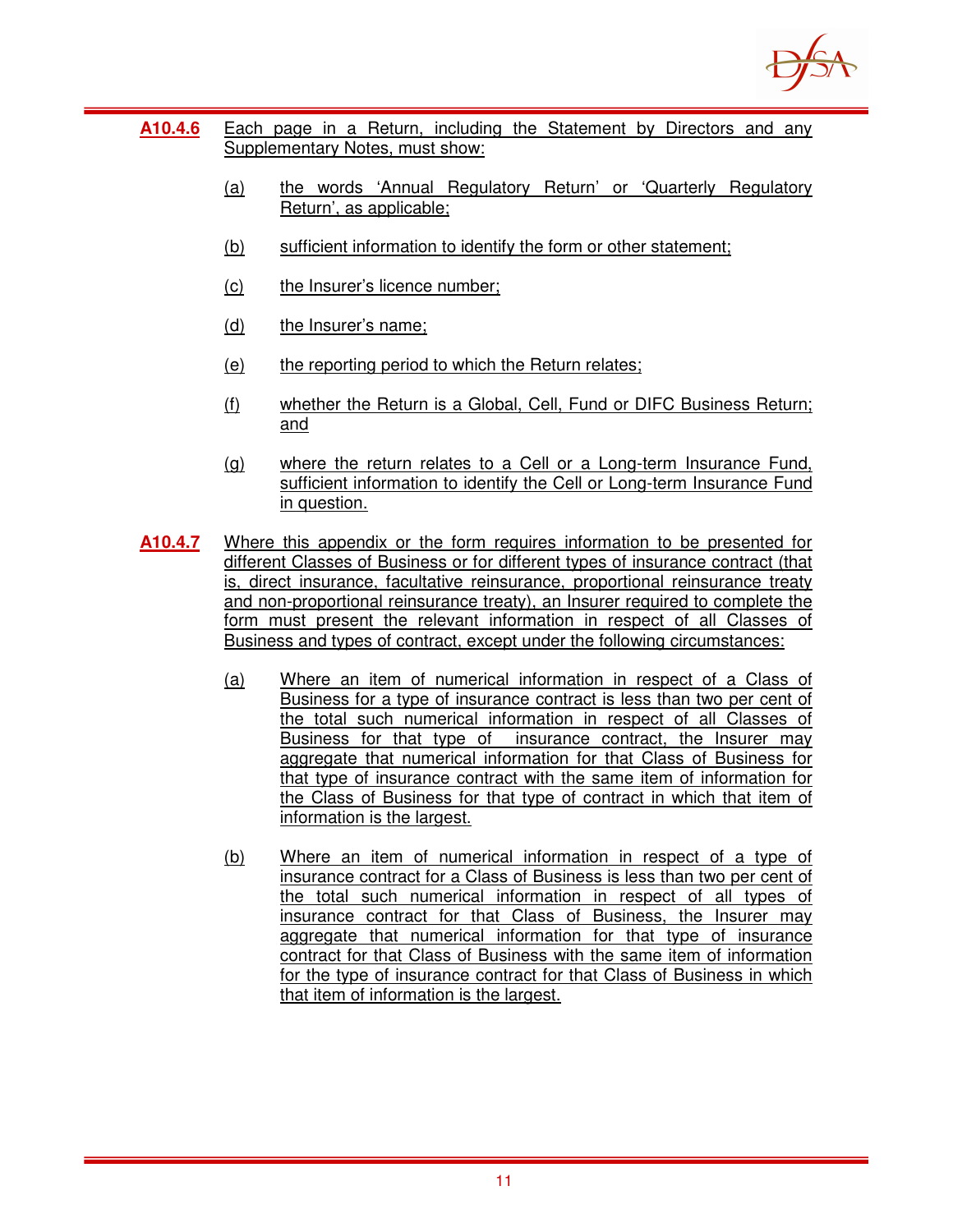

- **A10.4.6** Each page in a Return, including the Statement by Directors and any Supplementary Notes, must show:
	- (a) the words 'Annual Regulatory Return' or 'Quarterly Regulatory Return', as applicable;
	- (b) sufficient information to identify the form or other statement;
	- (c) the Insurer's licence number;
	- (d) the Insurer's name;
	- (e) the reporting period to which the Return relates;
	- (f) whether the Return is a Global, Cell, Fund or DIFC Business Return; and
	- (g) where the return relates to a Cell or a Long-term Insurance Fund, sufficient information to identify the Cell or Long-term Insurance Fund in question.
- **A10.4.7** Where this appendix or the form requires information to be presented for different Classes of Business or for different types of insurance contract (that is, direct insurance, facultative reinsurance, proportional reinsurance treaty and non-proportional reinsurance treaty), an Insurer required to complete the form must present the relevant information in respect of all Classes of Business and types of contract, except under the following circumstances:
	- (a) Where an item of numerical information in respect of a Class of Business for a type of insurance contract is less than two per cent of the total such numerical information in respect of all Classes of Business for that type of insurance contract, the Insurer may aggregate that numerical information for that Class of Business for that type of insurance contract with the same item of information for the Class of Business for that type of contract in which that item of information is the largest.
	- (b) Where an item of numerical information in respect of a type of insurance contract for a Class of Business is less than two per cent of the total such numerical information in respect of all types of insurance contract for that Class of Business, the Insurer may aggregate that numerical information for that type of insurance contract for that Class of Business with the same item of information for the type of insurance contract for that Class of Business in which that item of information is the largest.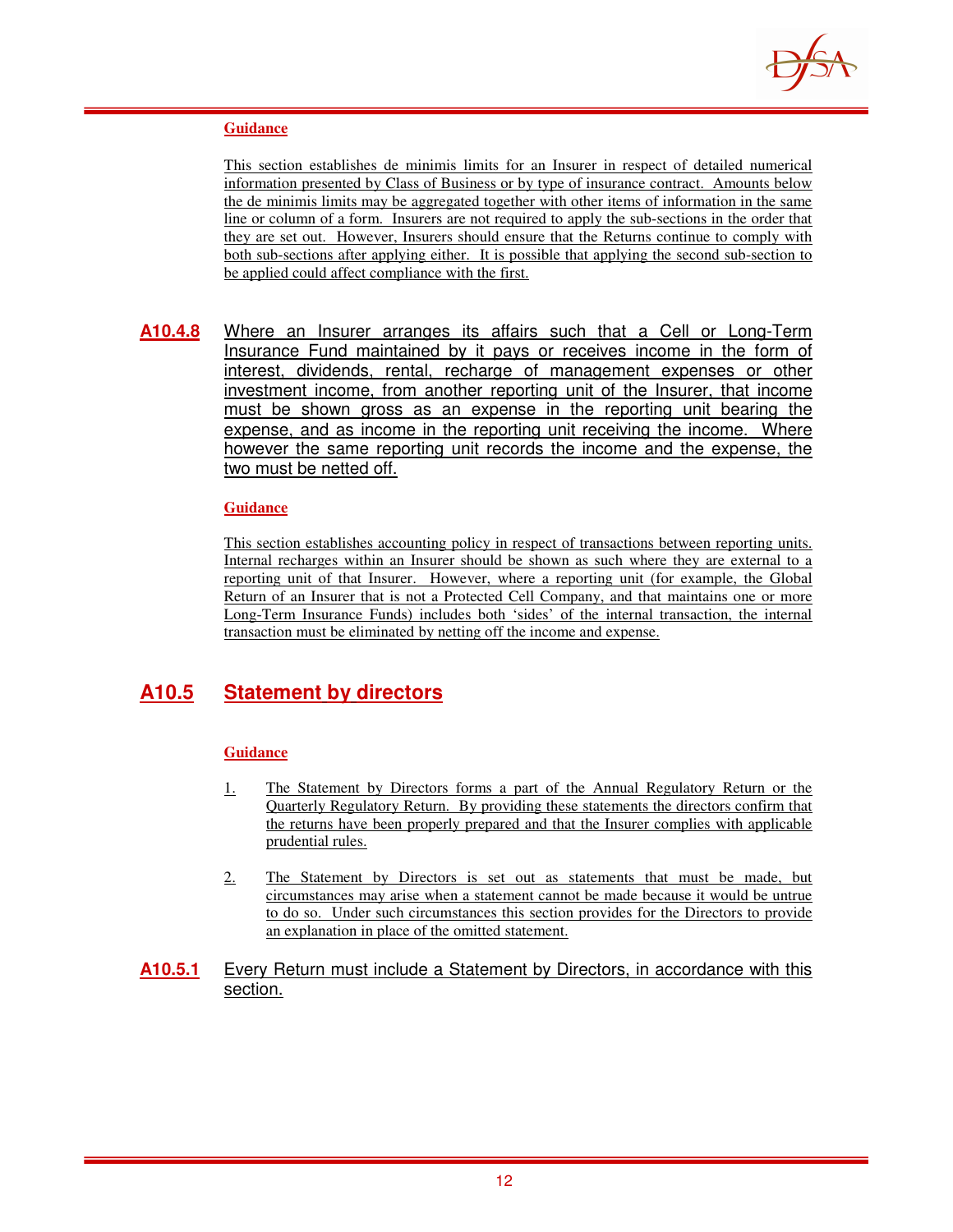

#### **Guidance**

This section establishes de minimis limits for an Insurer in respect of detailed numerical information presented by Class of Business or by type of insurance contract. Amounts below the de minimis limits may be aggregated together with other items of information in the same line or column of a form. Insurers are not required to apply the sub-sections in the order that they are set out. However, Insurers should ensure that the Returns continue to comply with both sub-sections after applying either. It is possible that applying the second sub-section to be applied could affect compliance with the first.

**A10.4.8** Where an Insurer arranges its affairs such that a Cell or Long-Term Insurance Fund maintained by it pays or receives income in the form of interest, dividends, rental, recharge of management expenses or other investment income, from another reporting unit of the Insurer, that income must be shown gross as an expense in the reporting unit bearing the expense, and as income in the reporting unit receiving the income. Where however the same reporting unit records the income and the expense, the two must be netted off.

#### **Guidance**

This section establishes accounting policy in respect of transactions between reporting units. Internal recharges within an Insurer should be shown as such where they are external to a reporting unit of that Insurer. However, where a reporting unit (for example, the Global Return of an Insurer that is not a Protected Cell Company, and that maintains one or more Long-Term Insurance Funds) includes both 'sides' of the internal transaction, the internal transaction must be eliminated by netting off the income and expense.

# **A10.5 Statement by directors**

#### **Guidance**

- 1. The Statement by Directors forms a part of the Annual Regulatory Return or the Quarterly Regulatory Return. By providing these statements the directors confirm that the returns have been properly prepared and that the Insurer complies with applicable prudential rules.
- 2. The Statement by Directors is set out as statements that must be made, but circumstances may arise when a statement cannot be made because it would be untrue to do so. Under such circumstances this section provides for the Directors to provide an explanation in place of the omitted statement.
- **A10.5.1** Every Return must include a Statement by Directors, in accordance with this section.